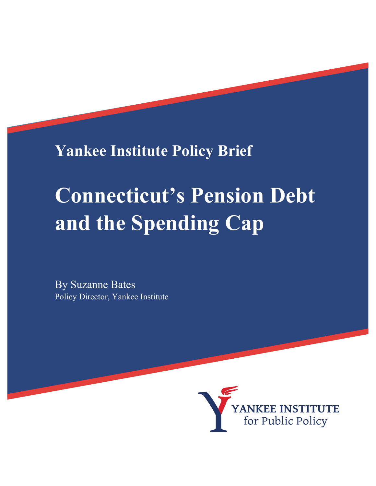**Yankee Institute Policy Brief**

# **Connecticut's Pension Debt and the Spending Cap**

By Suzanne Bates Policy Director, Yankee Institute

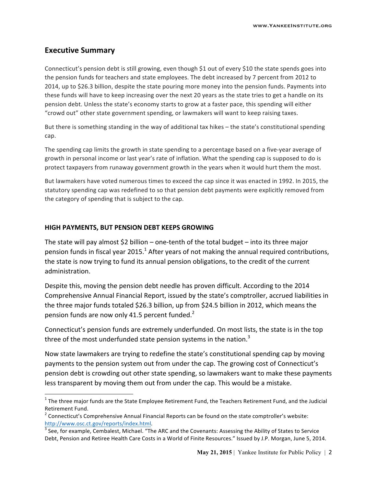### **Executive Summary**

Connecticut's pension debt is still growing, even though \$1 out of every \$10 the state spends goes into the pension funds for teachers and state employees. The debt increased by 7 percent from 2012 to 2014, up to \$26.3 billion, despite the state pouring more money into the pension funds. Payments into these funds will have to keep increasing over the next 20 years as the state tries to get a handle on its pension debt. Unless the state's economy starts to grow at a faster pace, this spending will either "crowd out" other state government spending, or lawmakers will want to keep raising taxes.

But there is something standing in the way of additional tax hikes – the state's constitutional spending cap. 

The spending cap limits the growth in state spending to a percentage based on a five-year average of growth in personal income or last year's rate of inflation. What the spending cap is supposed to do is protect taxpayers from runaway government growth in the years when it would hurt them the most.

But lawmakers have voted numerous times to exceed the cap since it was enacted in 1992. In 2015, the statutory spending cap was redefined to so that pension debt payments were explicitly removed from the category of spending that is subject to the cap.

#### **HIGH PAYMENTS, BUT PENSION DEBT KEEPS GROWING**

 

The state will pay almost \$2 billion – one-tenth of the total budget – into its three major pension funds in fiscal year 2015.<sup>1</sup> After years of not making the annual required contributions, the state is now trying to fund its annual pension obligations, to the credit of the current administration. 

Despite this, moving the pension debt needle has proven difficult. According to the 2014 Comprehensive Annual Financial Report, issued by the state's comptroller, accrued liabilities in the three major funds totaled \$26.3 billion, up from \$24.5 billion in 2012, which means the pension funds are now only 41.5 percent funded. $2^2$ 

Connecticut's pension funds are extremely underfunded. On most lists, the state is in the top three of the most underfunded state pension systems in the nation.<sup>3</sup>

Now state lawmakers are trying to redefine the state's constitutional spending cap by moving payments to the pension system out from under the cap. The growing cost of Connecticut's pension debt is crowding out other state spending, so lawmakers want to make these payments less transparent by moving them out from under the cap. This would be a mistake.

 $1$  The three major funds are the State Employee Retirement Fund, the Teachers Retirement Fund, and the Judicial Retirement Fund.

 $2$  Connecticut's Comprehensive Annual Financial Reports can be found on the state comptroller's website: http://www.osc.ct.gov/reports/index.html.<br> $3$  See, for example, Cembalest, Michael. "The ARC and the Covenants: Assessing the Ability of States to Service

Debt, Pension and Retiree Health Care Costs in a World of Finite Resources." Issued by J.P. Morgan, June 5, 2014.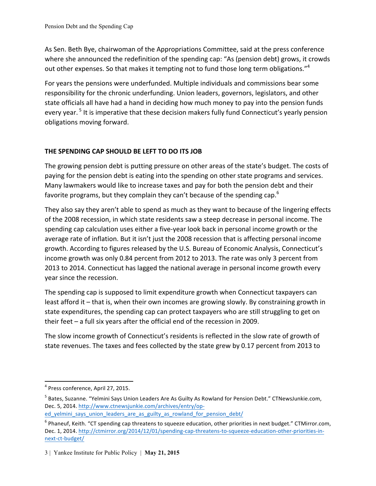As Sen. Beth Bye, chairwoman of the Appropriations Committee, said at the press conference where she announced the redefinition of the spending cap: "As (pension debt) grows, it crowds out other expenses. So that makes it tempting not to fund those long term obligations."<sup>4</sup>

For years the pensions were underfunded. Multiple individuals and commissions bear some responsibility for the chronic underfunding. Union leaders, governors, legislators, and other state officials all have had a hand in deciding how much money to pay into the pension funds every year.<sup>5</sup> It is imperative that these decision makers fully fund Connecticut's yearly pension obligations moving forward.

# **THE SPENDING CAP SHOULD BE LEFT TO DO ITS JOB**

The growing pension debt is putting pressure on other areas of the state's budget. The costs of paying for the pension debt is eating into the spending on other state programs and services. Many lawmakers would like to increase taxes and pay for both the pension debt and their favorite programs, but they complain they can't because of the spending cap.<sup>6</sup>

They also say they aren't able to spend as much as they want to because of the lingering effects of the 2008 recession, in which state residents saw a steep decrease in personal income. The spending cap calculation uses either a five-year look back in personal income growth or the average rate of inflation. But it isn't just the 2008 recession that is affecting personal income growth. According to figures released by the U.S. Bureau of Economic Analysis, Connecticut's income growth was only 0.84 percent from 2012 to 2013. The rate was only 3 percent from 2013 to 2014. Connecticut has lagged the national average in personal income growth every year since the recession.

The spending cap is supposed to limit expenditure growth when Connecticut taxpayers can least afford it - that is, when their own incomes are growing slowly. By constraining growth in state expenditures, the spending cap can protect taxpayers who are still struggling to get on their feet  $-$  a full six years after the official end of the recession in 2009.

The slow income growth of Connecticut's residents is reflected in the slow rate of growth of state revenues. The taxes and fees collected by the state grew by 0.17 percent from 2013 to

  $4$  Press conference, April 27, 2015.

<sup>&</sup>lt;sup>5</sup> Bates, Suzanne. "Yelmini Says Union Leaders Are As Guilty As Rowland for Pension Debt." CTNewsJunkie.com, Dec. 5, 2014. http://www.ctnewsjunkie.com/archives/entry/op-

ed yelmini says union leaders are as guilty as rowland for pension debt/

 $6$  Phaneuf, Keith. "CT spending cap threatens to squeeze education, other priorities in next budget." CTMirror.com, Dec. 1, 2014. http://ctmirror.org/2014/12/01/spending-cap-threatens-to-squeeze-education-other-priorities-innext-ct-budget/

<sup>3</sup> | Yankee Institute for Public Policy | **May 21, 2015**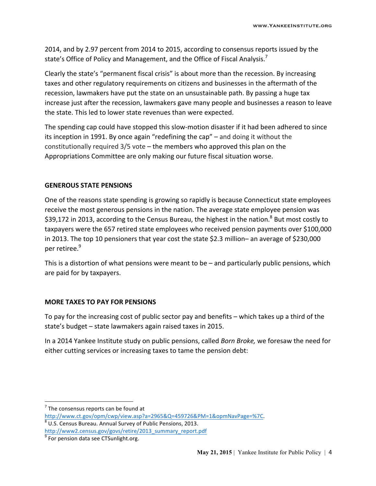2014, and by 2.97 percent from 2014 to 2015, according to consensus reports issued by the state's Office of Policy and Management, and the Office of Fiscal Analysis.<sup>7</sup>

Clearly the state's "permanent fiscal crisis" is about more than the recession. By increasing taxes and other regulatory requirements on citizens and businesses in the aftermath of the recession, lawmakers have put the state on an unsustainable path. By passing a huge tax increase just after the recession, lawmakers gave many people and businesses a reason to leave the state. This led to lower state revenues than were expected.

The spending cap could have stopped this slow-motion disaster if it had been adhered to since its inception in 1991. By once again "redefining the cap"  $-$  and doing it without the constitutionally required  $3/5$  vote – the members who approved this plan on the Appropriations Committee are only making our future fiscal situation worse.

#### **GENEROUS STATE PENSIONS**

One of the reasons state spending is growing so rapidly is because Connecticut state employees receive the most generous pensions in the nation. The average state employee pension was \$39,172 in 2013, according to the Census Bureau, the highest in the nation.<sup>8</sup> But most costly to taxpayers were the 657 retired state employees who received pension payments over \$100,000 in 2013. The top 10 pensioners that year cost the state \$2.3 million– an average of \$230,000 per retiree.<sup>9</sup>

This is a distortion of what pensions were meant to be  $-$  and particularly public pensions, which are paid for by taxpayers.

#### **MORE TAXES TO PAY FOR PENSIONS**

To pay for the increasing cost of public sector pay and benefits – which takes up a third of the state's budget – state lawmakers again raised taxes in 2015.

In a 2014 Yankee Institute study on public pensions, called *Born Broke*, we foresaw the need for either cutting services or increasing taxes to tame the pension debt:

 

 $<sup>7</sup>$  The consensus reports can be found at</sup>

http://www.ct.gov/opm/cwp/view.asp?a=2965&Q=459726&PM=1&opmNavPage=%7C.<br><sup>8</sup> U.S. Census Bureau. Annual Survey of Public Pensions, 2013. http://www2.census.gov/govs/retire/2013\_summary\_report.pdf

 $9$  For pension data see CTSunlight.org.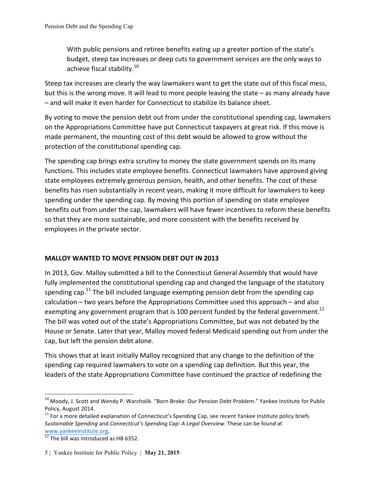With public pensions and retiree benefits eating up a greater portion of the state's budget, steep tax increases or deep cuts to government services are the only ways to achieve fiscal stability. $10^{10}$ 

Steep tax increases are clearly the way lawmakers want to get the state out of this fiscal mess, but this is the wrong move. It will lead to more people leaving the state – as many already have  $-$  and will make it even harder for Connecticut to stabilize its balance sheet.

By voting to move the pension debt out from under the constitutional spending cap, lawmakers on the Appropriations Committee have put Connecticut taxpayers at great risk. If this move is made permanent, the mounting cost of this debt would be allowed to grow without the protection of the constitutional spending cap.

The spending cap brings extra scrutiny to money the state government spends on its many functions. This includes state employee benefits. Connecticut lawmakers have approved giving state employees extremely generous pension, health, and other benefits. The cost of these benefits has risen substantially in recent years, making it more difficult for lawmakers to keep spending under the spending cap. By moving this portion of spending on state employee benefits out from under the cap, lawmakers will have fewer incentives to reform these benefits so that they are more sustainable, and more consistent with the benefits received by employees in the private sector.

## **MALLOY WANTED TO MOVE PENSION DEBT OUT IN 2013**

In 2013, Gov. Malloy submitted a bill to the Connecticut General Assembly that would have fully implemented the constitutional spending cap and changed the language of the statutory spending cap.<sup>11</sup> The bill included language exempting pension debt from the spending cap calculation  $-$  two years before the Appropriations Committee used this approach  $-$  and also exempting any government program that is 100 percent funded by the federal government.<sup>12</sup> The bill was voted out of the state's Appropriations Committee, but was not debated by the House or Senate. Later that year, Malloy moved federal Medicaid spending out from under the cap, but left the pension debt alone.

This shows that at least initially Malloy recognized that any change to the definition of the spending cap required lawmakers to vote on a spending cap definition. But this year, the leaders of the state Appropriations Committee have continued the practice of redefining the

 

 $10$  Moody, J. Scott and Wendy P. Warcholik. "Born Broke: Our Pension Debt Problem." Yankee Institute for Public Policy, August 2014.<br><sup>11</sup> For a more detailed explanation of Connecticut's Spending Cap, see recent Yankee Institute policy briefs

*Sustainable Spending* and *Connecticut's Spending Cap: A Legal Overview*. These can be found at www.yankeeinstitute.org.<br> $\frac{12}{12}$  The bill was introduced as HB 6352.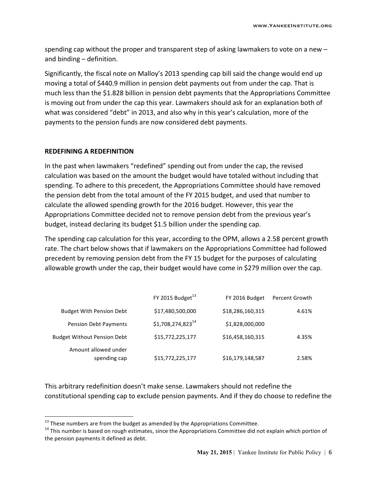spending cap without the proper and transparent step of asking lawmakers to vote on a new  $$ and binding  $-$  definition.

Significantly, the fiscal note on Malloy's 2013 spending cap bill said the change would end up moving a total of \$440.9 million in pension debt payments out from under the cap. That is much less than the \$1.828 billion in pension debt payments that the Appropriations Committee is moving out from under the cap this year. Lawmakers should ask for an explanation both of what was considered "debt" in 2013, and also why in this year's calculation, more of the payments to the pension funds are now considered debt payments.

#### **REDEFINING A REDEFINITION**

 

In the past when lawmakers "redefined" spending out from under the cap, the revised calculation was based on the amount the budget would have totaled without including that spending. To adhere to this precedent, the Appropriations Committee should have removed the pension debt from the total amount of the FY 2015 budget, and used that number to calculate the allowed spending growth for the 2016 budget. However, this year the Appropriations Committee decided not to remove pension debt from the previous year's budget, instead declaring its budget \$1.5 billion under the spending cap.

The spending cap calculation for this year, according to the OPM, allows a 2.58 percent growth rate. The chart below shows that if lawmakers on the Appropriations Committee had followed precedent by removing pension debt from the FY 15 budget for the purposes of calculating allowable growth under the cap, their budget would have come in \$279 million over the cap.

|                                      | FY 2015 Budget $^{13}$         | FY 2016 Budget   | Percent Growth |
|--------------------------------------|--------------------------------|------------------|----------------|
| <b>Budget With Pension Debt</b>      | \$17,480,500,000               | \$18,286,160,315 | 4.61%          |
| <b>Pension Debt Payments</b>         | $$1,708,274,823$ <sup>14</sup> | \$1,828,000,000  |                |
| <b>Budget Without Pension Debt</b>   | \$15,772,225,177               | \$16,458,160,315 | 4.35%          |
| Amount allowed under<br>spending cap | \$15,772,225,177               | \$16,179,148,587 | 2.58%          |

This arbitrary redefinition doesn't make sense. Lawmakers should not redefine the constitutional spending cap to exclude pension payments. And if they do choose to redefine the

<sup>&</sup>lt;sup>13</sup> These numbers are from the budget as amended by the Appropriations Committee.<br><sup>14</sup> This number is based on rough estimates, since the Appropriations Committee did not explain which portion of the pension payments it defined as debt.